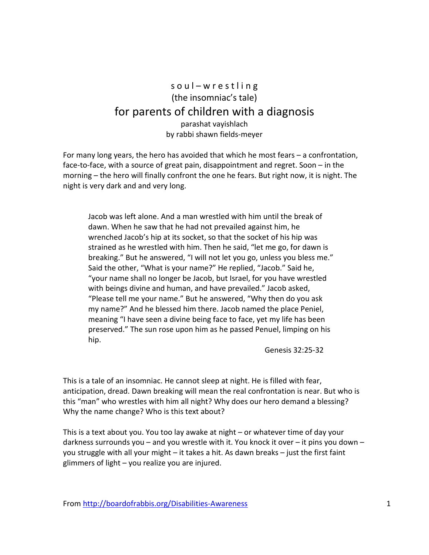## s o u l - w r e s t l i n g (the insomniac's tale) for parents of children with a diagnosis parashat vayishlach by rabbi shawn fields-meyer

For many long years, the hero has avoided that which he most fears – a confrontation, face-to-face, with a source of great pain, disappointment and regret. Soon – in the morning – the hero will finally confront the one he fears. But right now, it is night. The night is very dark and and very long.

Jacob was left alone. And a man wrestled with him until the break of dawn. When he saw that he had not prevailed against him, he wrenched Jacob's hip at its socket, so that the socket of his hip was strained as he wrestled with him. Then he said, "let me go, for dawn is breaking." But he answered, "I will not let you go, unless you bless me." Said the other, "What is your name?" He replied, "Jacob." Said he, "your name shall no longer be Jacob, but Israel, for you have wrestled with beings divine and human, and have prevailed." Jacob asked, "Please tell me your name." But he answered, "Why then do you ask my name?" And he blessed him there. Jacob named the place Peniel, meaning "I have seen a divine being face to face, yet my life has been preserved." The sun rose upon him as he passed Penuel, limping on his hip.

Genesis 32:25-32

This is a tale of an insomniac. He cannot sleep at night. He is filled with fear, anticipation, dread. Dawn breaking will mean the real confrontation is near. But who is this "man" who wrestles with him all night? Why does our hero demand a blessing? Why the name change? Who is this text about?

This is a text about you. You too lay awake at night – or whatever time of day your darkness surrounds you – and you wrestle with it. You knock it over – it pins you down – you struggle with all your might – it takes a hit. As dawn breaks – just the first faint glimmers of light – you realize you are injured.